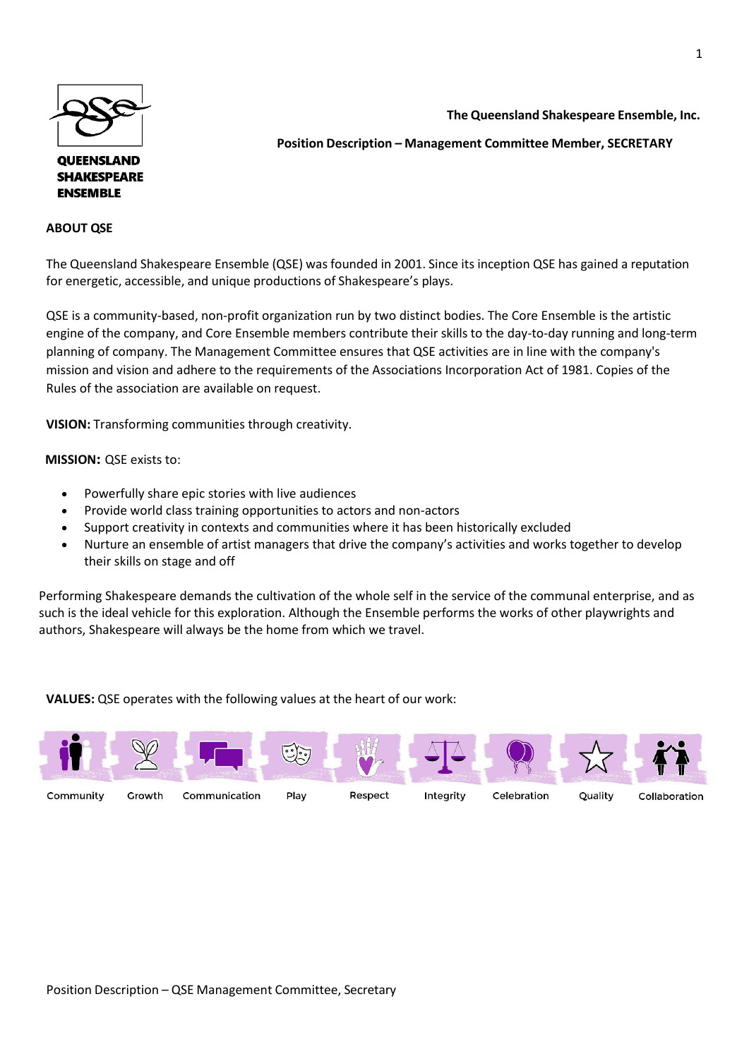

## **QUEENSLAND SHAKESPEARE ENSEMBLE**

## **ABOUT QSE**

**The Queensland Shakespeare Ensemble, Inc.** 

**Position Description – Management Committee Member, SECRETARY**

The Queensland Shakespeare Ensemble (QSE) was founded in 2001. Since its inception QSE has gained a reputation for energetic, accessible, and unique productions of Shakespeare's plays.

QSE is a community-based, non-profit organization run by two distinct bodies. The Core Ensemble is the artistic engine of the company, and Core Ensemble members contribute their skills to the day-to-day running and long-term planning of company. The Management Committee ensures that QSE activities are in line with the company's mission and vision and adhere to the requirements of the Associations Incorporation Act of 1981. Copies of the Rules of the association are available on request.

**VISION:** Transforming communities through creativity.

 **MISSION:** QSE exists to:

- Powerfully share epic stories with live audiences
- Provide world class training opportunities to actors and non-actors
- Support creativity in contexts and communities where it has been historically excluded
- Nurture an ensemble of artist managers that drive the company's activities and works together to develop their skills on stage and off

Performing Shakespeare demands the cultivation of the whole self in the service of the communal enterprise, and as such is the ideal vehicle for this exploration. Although the Ensemble performs the works of other playwrights and authors, Shakespeare will always be the home from which we travel.

**VALUES:** QSE operates with the following values at the heart of our work: